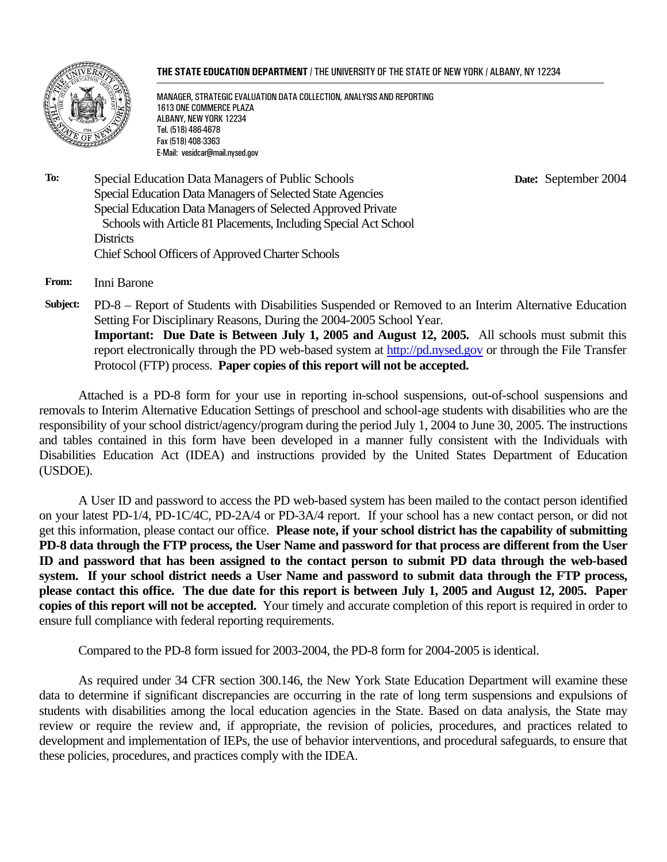#### **THE STATE EDUCATION DEPARTMENT** / THE UNIVERSITY OF THE STATE OF NEW YORK / ALBANY, NY 12234



MANAGER, STRATEGIC EVALUATION DATA COLLECTION, ANALYSIS AND REPORTING 1613 ONE COMMERCE PLAZA ALBANY, NEW YORK 12234 Tel. (518) 486-4678 Fax (518) 408-3363 E-Mail: vesidcar@mail.nysed.gov

 **Date:** September 2004

**To:** Special Education Data Managers of Public Schools Special Education Data Managers of Selected State Agencies Special Education Data Managers of Selected Approved Private Schools with Article 81 Placements, Including Special Act School **Districts** Chief School Officers of Approved Charter Schools

**From:** Inni Barone

**Subject:** PD-8 – Report of Students with Disabilities Suspended or Removed to an Interim Alternative Education Setting For Disciplinary Reasons, During the 2004-2005 School Year. **Important: Due Date is Between July 1, 2005 and August 12, 2005.** All schools must submit this report electronically through the PD web-based system at http://pd.nysed.gov or through the File Transfer Protocol (FTP) process. **Paper copies of this report will not be accepted.**

Attached is a PD-8 form for your use in reporting in-school suspensions, out-of-school suspensions and removals to Interim Alternative Education Settings of preschool and school-age students with disabilities who are the responsibility of your school district/agency/program during the period July 1, 2004 to June 30, 2005. The instructions and tables contained in this form have been developed in a manner fully consistent with the Individuals with Disabilities Education Act (IDEA) and instructions provided by the United States Department of Education (USDOE).

A User ID and password to access the PD web-based system has been mailed to the contact person identified on your latest PD-1/4, PD-1C/4C, PD-2A/4 or PD-3A/4 report. If your school has a new contact person, or did not get this information, please contact our office. **Please note, if your school district has the capability of submitting PD-8 data through the FTP process, the User Name and password for that process are different from the User ID and password that has been assigned to the contact person to submit PD data through the web-based system. If your school district needs a User Name and password to submit data through the FTP process, please contact this office. The due date for this report is between July 1, 2005 and August 12, 2005. Paper copies of this report will not be accepted.** Your timely and accurate completion of this report is required in order to ensure full compliance with federal reporting requirements.

Compared to the PD-8 form issued for 2003-2004, the PD-8 form for 2004-2005 is identical.

As required under 34 CFR section 300.146, the New York State Education Department will examine these data to determine if significant discrepancies are occurring in the rate of long term suspensions and expulsions of students with disabilities among the local education agencies in the State. Based on data analysis, the State may review or require the review and, if appropriate, the revision of policies, procedures, and practices related to development and implementation of IEPs, the use of behavior interventions, and procedural safeguards, to ensure that these policies, procedures, and practices comply with the IDEA.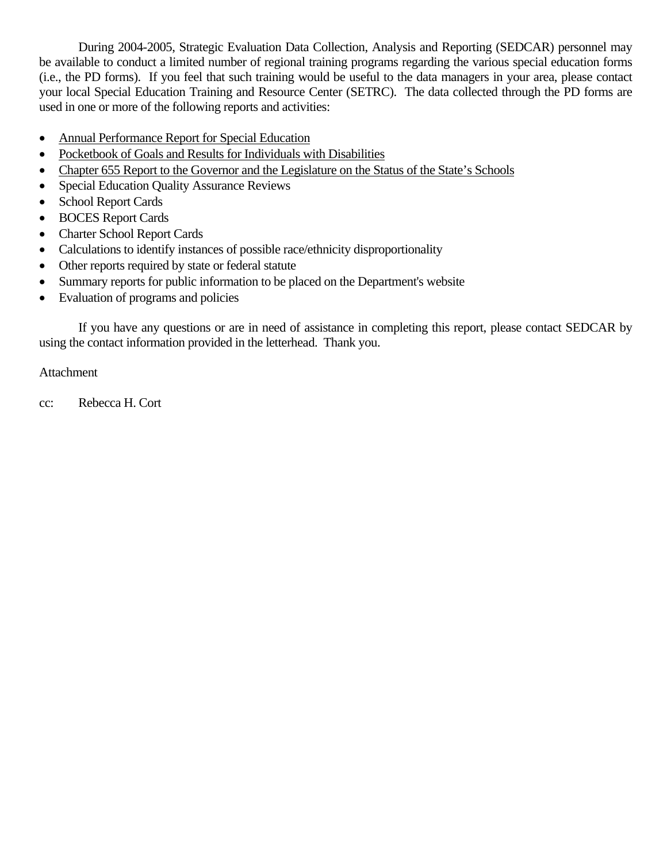During 2004-2005, Strategic Evaluation Data Collection, Analysis and Reporting (SEDCAR) personnel may be available to conduct a limited number of regional training programs regarding the various special education forms (i.e., the PD forms). If you feel that such training would be useful to the data managers in your area, please contact your local Special Education Training and Resource Center (SETRC). The data collected through the PD forms are used in one or more of the following reports and activities:

- Annual Performance Report for Special Education
- Pocketbook of Goals and Results for Individuals with Disabilities
- Chapter 655 Report to the Governor and the Legislature on the Status of the State's Schools
- Special Education Quality Assurance Reviews
- School Report Cards
- BOCES Report Cards
- Charter School Report Cards
- Calculations to identify instances of possible race/ethnicity disproportionality
- Other reports required by state or federal statute
- Summary reports for public information to be placed on the Department's website
- Evaluation of programs and policies

If you have any questions or are in need of assistance in completing this report, please contact SEDCAR by using the contact information provided in the letterhead. Thank you.

## Attachment

cc: Rebecca H. Cort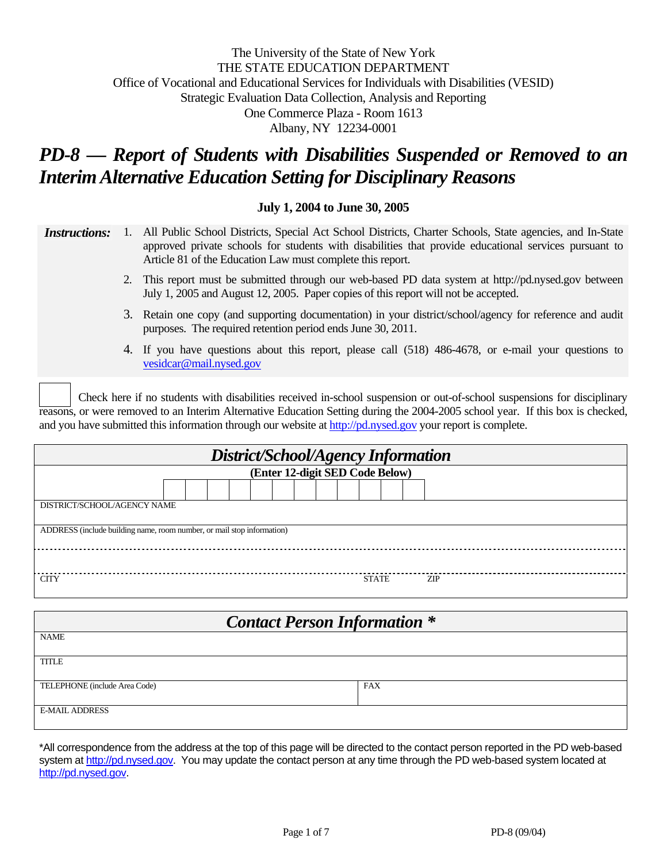## The University of the State of New York THE STATE EDUCATION DEPARTMENT Office of Vocational and Educational Services for Individuals with Disabilities (VESID) Strategic Evaluation Data Collection, Analysis and Reporting One Commerce Plaza - Room 1613 Albany, NY 12234-0001

# *PD-8 — Report of Students with Disabilities Suspended or Removed to an Interim Alternative Education Setting for Disciplinary Reasons*

#### **July 1, 2004 to June 30, 2005**

*Instructions:* 1. All Public School Districts, Special Act School Districts, Charter Schools, State agencies, and In-State approved private schools for students with disabilities that provide educational services pursuant to Article 81 of the Education Law must complete this report.

- 2. This report must be submitted through our web-based PD data system at http://pd.nysed.gov between July 1, 2005 and August 12, 2005. Paper copies of this report will not be accepted.
- 3. Retain one copy (and supporting documentation) in your district/school/agency for reference and audit purposes. The required retention period ends June 30, 2011.
- 4. If you have questions about this report, please call (518) 486-4678, or e-mail your questions to vesidcar@mail.nysed.gov

Check here if no students with disabilities received in-school suspension or out-of-school suspensions for disciplinary reasons, or were removed to an Interim Alternative Education Setting during the 2004-2005 school year. If this box is checked, and you have submitted this information through our website at http://pd.nysed.gov your report is complete.

| District/School/Agency Information                                     |              |      |  |  |  |  |
|------------------------------------------------------------------------|--------------|------|--|--|--|--|
| (Enter 12-digit SED Code Below)                                        |              |      |  |  |  |  |
|                                                                        |              |      |  |  |  |  |
| DISTRICT/SCHOOL/AGENCY NAME                                            |              |      |  |  |  |  |
| ADDRESS (include building name, room number, or mail stop information) |              |      |  |  |  |  |
|                                                                        |              |      |  |  |  |  |
| <b>CITY</b>                                                            | <b>STATE</b> | ZIP. |  |  |  |  |

| <b>Contact Person Information *</b> |            |  |  |  |
|-------------------------------------|------------|--|--|--|
| <b>NAME</b>                         |            |  |  |  |
| <b>TITLE</b>                        |            |  |  |  |
| TELEPHONE (include Area Code)       | <b>FAX</b> |  |  |  |
| <b>E-MAIL ADDRESS</b>               |            |  |  |  |

\*All correspondence from the address at the top of this page will be directed to the contact person reported in the PD web-based system at http://pd.nysed.gov. You may update the contact person at any time through the PD web-based system located at http://pd.nysed.gov.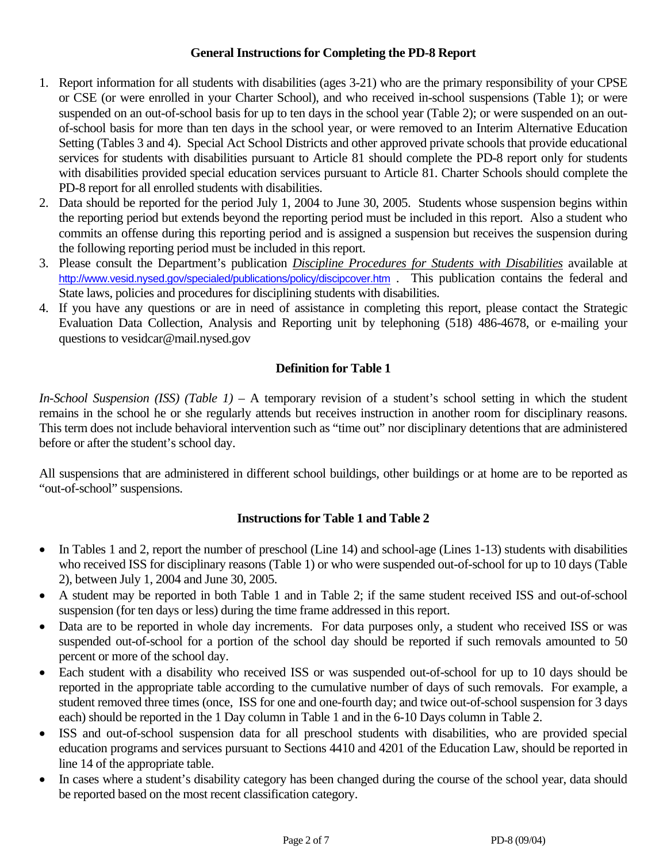#### **General Instructions for Completing the PD-8 Report**

- 1. Report information for all students with disabilities (ages 3-21) who are the primary responsibility of your CPSE or CSE (or were enrolled in your Charter School), and who received in-school suspensions (Table 1); or were suspended on an out-of-school basis for up to ten days in the school year (Table 2); or were suspended on an outof-school basis for more than ten days in the school year, or were removed to an Interim Alternative Education Setting (Tables 3 and 4). Special Act School Districts and other approved private schools that provide educational services for students with disabilities pursuant to Article 81 should complete the PD-8 report only for students with disabilities provided special education services pursuant to Article 81. Charter Schools should complete the PD-8 report for all enrolled students with disabilities.
- 2. Data should be reported for the period July 1, 2004 to June 30, 2005. Students whose suspension begins within the reporting period but extends beyond the reporting period must be included in this report. Also a student who commits an offense during this reporting period and is assigned a suspension but receives the suspension during the following reporting period must be included in this report.
- 3. Please consult the Department's publication *Discipline Procedures for Students with Disabilities* available at http://www.vesid.nysed.gov/specialed/publications/policy/discipcover.htm . This publication contains the federal and State laws, policies and procedures for disciplining students with disabilities.
- 4. If you have any questions or are in need of assistance in completing this report, please contact the Strategic Evaluation Data Collection, Analysis and Reporting unit by telephoning (518) 486-4678, or e-mailing your questions to vesidcar@mail.nysed.gov

# **Definition for Table 1**

*In-School Suspension (ISS) (Table 1)* – A temporary revision of a student's school setting in which the student remains in the school he or she regularly attends but receives instruction in another room for disciplinary reasons. This term does not include behavioral intervention such as "time out" nor disciplinary detentions that are administered before or after the student's school day.

All suspensions that are administered in different school buildings, other buildings or at home are to be reported as "out-of-school" suspensions.

# **Instructions for Table 1 and Table 2**

- In Tables 1 and 2, report the number of preschool (Line 14) and school-age (Lines 1-13) students with disabilities who received ISS for disciplinary reasons (Table 1) or who were suspended out-of-school for up to 10 days (Table 2), between July 1, 2004 and June 30, 2005.
- A student may be reported in both Table 1 and in Table 2; if the same student received ISS and out-of-school suspension (for ten days or less) during the time frame addressed in this report.
- Data are to be reported in whole day increments. For data purposes only, a student who received ISS or was suspended out-of-school for a portion of the school day should be reported if such removals amounted to 50 percent or more of the school day.
- Each student with a disability who received ISS or was suspended out-of-school for up to 10 days should be reported in the appropriate table according to the cumulative number of days of such removals. For example, a student removed three times (once, ISS for one and one-fourth day; and twice out-of-school suspension for 3 days each) should be reported in the 1 Day column in Table 1 and in the 6-10 Days column in Table 2.
- ISS and out-of-school suspension data for all preschool students with disabilities, who are provided special education programs and services pursuant to Sections 4410 and 4201 of the Education Law, should be reported in line 14 of the appropriate table.
- In cases where a student's disability category has been changed during the course of the school year, data should be reported based on the most recent classification category.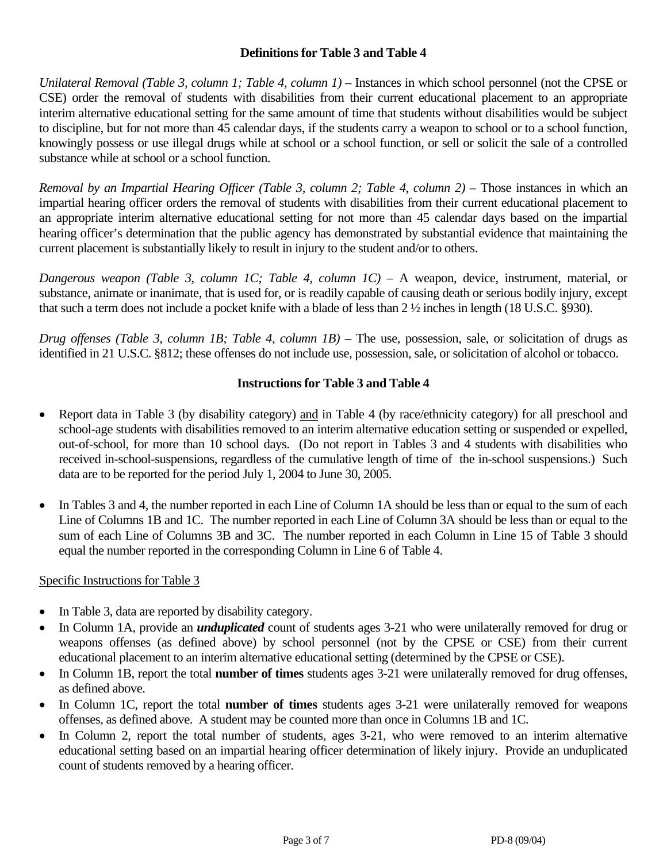## **Definitions for Table 3 and Table 4**

*Unilateral Removal (Table 3, column 1; Table 4, column 1)* – Instances in which school personnel (not the CPSE or CSE) order the removal of students with disabilities from their current educational placement to an appropriate interim alternative educational setting for the same amount of time that students without disabilities would be subject to discipline, but for not more than 45 calendar days, if the students carry a weapon to school or to a school function, knowingly possess or use illegal drugs while at school or a school function, or sell or solicit the sale of a controlled substance while at school or a school function.

*Removal by an Impartial Hearing Officer (Table 3, column 2; Table 4, column 2)* – Those instances in which an impartial hearing officer orders the removal of students with disabilities from their current educational placement to an appropriate interim alternative educational setting for not more than 45 calendar days based on the impartial hearing officer's determination that the public agency has demonstrated by substantial evidence that maintaining the current placement is substantially likely to result in injury to the student and/or to others.

*Dangerous weapon (Table 3, column 1C; Table 4, column 1C)* – A weapon, device, instrument, material, or substance, animate or inanimate, that is used for, or is readily capable of causing death or serious bodily injury, except that such a term does not include a pocket knife with a blade of less than 2 ½ inches in length (18 U.S.C. §930).

*Drug offenses (Table 3, column 1B; Table 4, column 1B)* – The use, possession, sale, or solicitation of drugs as identified in 21 U.S.C. §812; these offenses do not include use, possession, sale, or solicitation of alcohol or tobacco.

# **Instructions for Table 3 and Table 4**

- Report data in Table 3 (by disability category) and in Table 4 (by race/ethnicity category) for all preschool and school-age students with disabilities removed to an interim alternative education setting or suspended or expelled, out-of-school, for more than 10 school days. (Do not report in Tables 3 and 4 students with disabilities who received in-school-suspensions, regardless of the cumulative length of time of the in-school suspensions.) Such data are to be reported for the period July 1, 2004 to June 30, 2005.
- In Tables 3 and 4, the number reported in each Line of Column 1A should be less than or equal to the sum of each Line of Columns 1B and 1C. The number reported in each Line of Column 3A should be less than or equal to the sum of each Line of Columns 3B and 3C. The number reported in each Column in Line 15 of Table 3 should equal the number reported in the corresponding Column in Line 6 of Table 4.

#### Specific Instructions for Table 3

- In Table 3, data are reported by disability category.
- In Column 1A, provide an *unduplicated* count of students ages 3-21 who were unilaterally removed for drug or weapons offenses (as defined above) by school personnel (not by the CPSE or CSE) from their current educational placement to an interim alternative educational setting (determined by the CPSE or CSE).
- In Column 1B, report the total **number of times** students ages 3-21 were unilaterally removed for drug offenses, as defined above.
- In Column 1C, report the total **number of times** students ages 3-21 were unilaterally removed for weapons offenses, as defined above. A student may be counted more than once in Columns 1B and 1C.
- In Column 2, report the total number of students, ages 3-21, who were removed to an interim alternative educational setting based on an impartial hearing officer determination of likely injury. Provide an unduplicated count of students removed by a hearing officer.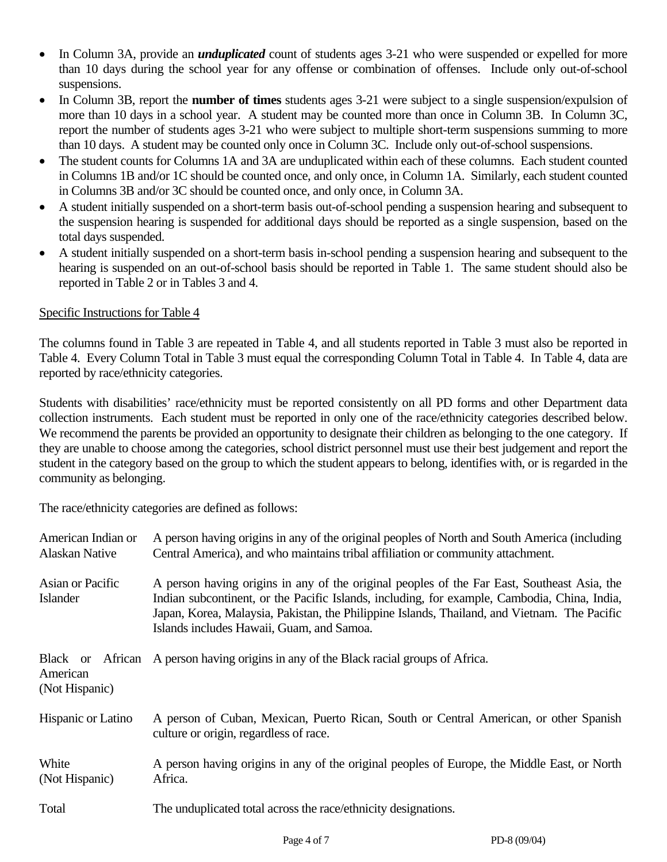- In Column 3A, provide an *unduplicated* count of students ages 3-21 who were suspended or expelled for more than 10 days during the school year for any offense or combination of offenses. Include only out-of-school suspensions.
- In Column 3B, report the **number of times** students ages 3-21 were subject to a single suspension/expulsion of more than 10 days in a school year. A student may be counted more than once in Column 3B. In Column 3C, report the number of students ages 3-21 who were subject to multiple short-term suspensions summing to more than 10 days. A student may be counted only once in Column 3C. Include only out-of-school suspensions.
- The student counts for Columns 1A and 3A are unduplicated within each of these columns. Each student counted in Columns 1B and/or 1C should be counted once, and only once, in Column 1A. Similarly, each student counted in Columns 3B and/or 3C should be counted once, and only once, in Column 3A.
- A student initially suspended on a short-term basis out-of-school pending a suspension hearing and subsequent to the suspension hearing is suspended for additional days should be reported as a single suspension, based on the total days suspended.
- A student initially suspended on a short-term basis in-school pending a suspension hearing and subsequent to the hearing is suspended on an out-of-school basis should be reported in Table 1. The same student should also be reported in Table 2 or in Tables 3 and 4.

## Specific Instructions for Table 4

The columns found in Table 3 are repeated in Table 4, and all students reported in Table 3 must also be reported in Table 4. Every Column Total in Table 3 must equal the corresponding Column Total in Table 4. In Table 4, data are reported by race/ethnicity categories.

Students with disabilities' race/ethnicity must be reported consistently on all PD forms and other Department data collection instruments. Each student must be reported in only one of the race/ethnicity categories described below. We recommend the parents be provided an opportunity to designate their children as belonging to the one category. If they are unable to choose among the categories, school district personnel must use their best judgement and report the student in the category based on the group to which the student appears to belong, identifies with, or is regarded in the community as belonging.

The race/ethnicity categories are defined as follows:

| American Indian or<br>Alaskan Native   | A person having origins in any of the original peoples of North and South America (including<br>Central America), and who maintains tribal affiliation or community attachment.                                                                                                                                                          |  |  |  |  |
|----------------------------------------|------------------------------------------------------------------------------------------------------------------------------------------------------------------------------------------------------------------------------------------------------------------------------------------------------------------------------------------|--|--|--|--|
| Asian or Pacific<br>Islander           | A person having origins in any of the original peoples of the Far East, Southeast Asia, the<br>Indian subcontinent, or the Pacific Islands, including, for example, Cambodia, China, India,<br>Japan, Korea, Malaysia, Pakistan, the Philippine Islands, Thailand, and Vietnam. The Pacific<br>Islands includes Hawaii, Guam, and Samoa. |  |  |  |  |
| Black or<br>American<br>(Not Hispanic) | African A person having origins in any of the Black racial groups of Africa.                                                                                                                                                                                                                                                             |  |  |  |  |
| Hispanic or Latino                     | A person of Cuban, Mexican, Puerto Rican, South or Central American, or other Spanish<br>culture or origin, regardless of race.                                                                                                                                                                                                          |  |  |  |  |
| White<br>(Not Hispanic)                | A person having origins in any of the original peoples of Europe, the Middle East, or North<br>Africa.                                                                                                                                                                                                                                   |  |  |  |  |
| Total                                  | The unduplicated total across the race/ethnicity designations.                                                                                                                                                                                                                                                                           |  |  |  |  |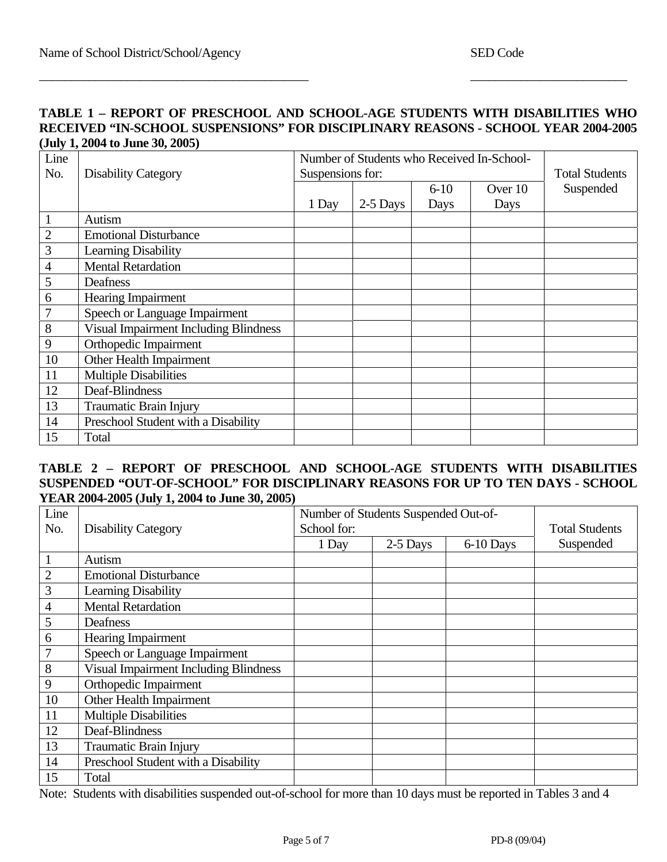#### **TABLE 1 – REPORT OF PRESCHOOL AND SCHOOL-AGE STUDENTS WITH DISABILITIES WHO RECEIVED "IN-SCHOOL SUSPENSIONS" FOR DISCIPLINARY REASONS - SCHOOL YEAR 2004-2005 (July 1, 2004 to June 30, 2005)**

 $\overline{\phantom{a}}$  , and the contribution of the contribution of the contribution of the contribution of the contribution of the contribution of the contribution of the contribution of the contribution of the contribution of the

| Line           |                                              | Number of Students who Received In-School- |          |                       |         |           |
|----------------|----------------------------------------------|--------------------------------------------|----------|-----------------------|---------|-----------|
| No.            | <b>Disability Category</b>                   | Suspensions for:                           |          | <b>Total Students</b> |         |           |
|                |                                              |                                            |          | $6 - 10$              | Over 10 | Suspended |
|                |                                              | 1 Day                                      | 2-5 Days | Days                  | Days    |           |
| $\mathbf{1}$   | Autism                                       |                                            |          |                       |         |           |
| $\mathbf{2}$   | <b>Emotional Disturbance</b>                 |                                            |          |                       |         |           |
| 3              | Learning Disability                          |                                            |          |                       |         |           |
| $\overline{4}$ | <b>Mental Retardation</b>                    |                                            |          |                       |         |           |
| 5              | Deafness                                     |                                            |          |                       |         |           |
| 6              | Hearing Impairment                           |                                            |          |                       |         |           |
| 7              | Speech or Language Impairment                |                                            |          |                       |         |           |
| 8              | <b>Visual Impairment Including Blindness</b> |                                            |          |                       |         |           |
| 9              | Orthopedic Impairment                        |                                            |          |                       |         |           |
| 10             | Other Health Impairment                      |                                            |          |                       |         |           |
| 11             | <b>Multiple Disabilities</b>                 |                                            |          |                       |         |           |
| 12             | Deaf-Blindness                               |                                            |          |                       |         |           |
| 13             | <b>Traumatic Brain Injury</b>                |                                            |          |                       |         |           |
| 14             | Preschool Student with a Disability          |                                            |          |                       |         |           |
| 15             | Total                                        |                                            |          |                       |         |           |

## **TABLE 2 – REPORT OF PRESCHOOL AND SCHOOL-AGE STUDENTS WITH DISABILITIES SUSPENDED "OUT-OF-SCHOOL" FOR DISCIPLINARY REASONS FOR UP TO TEN DAYS - SCHOOL YEAR 2004-2005 (July 1, 2004 to June 30, 2005)**

| Line           |                                              | Number of Students Suspended Out-of- |                       |             |           |
|----------------|----------------------------------------------|--------------------------------------|-----------------------|-------------|-----------|
| No.            | <b>Disability Category</b>                   | School for:                          | <b>Total Students</b> |             |           |
|                |                                              | 1 Day                                | 2-5 Days              | $6-10$ Days | Suspended |
|                | Autism                                       |                                      |                       |             |           |
| $\overline{2}$ | <b>Emotional Disturbance</b>                 |                                      |                       |             |           |
| 3              | <b>Learning Disability</b>                   |                                      |                       |             |           |
| $\overline{4}$ | <b>Mental Retardation</b>                    |                                      |                       |             |           |
| 5              | Deafness                                     |                                      |                       |             |           |
| 6              | Hearing Impairment                           |                                      |                       |             |           |
|                | Speech or Language Impairment                |                                      |                       |             |           |
| 8              | <b>Visual Impairment Including Blindness</b> |                                      |                       |             |           |
| 9              | Orthopedic Impairment                        |                                      |                       |             |           |
| 10             | Other Health Impairment                      |                                      |                       |             |           |
| 11             | <b>Multiple Disabilities</b>                 |                                      |                       |             |           |
| 12             | Deaf-Blindness                               |                                      |                       |             |           |
| 13             | <b>Traumatic Brain Injury</b>                |                                      |                       |             |           |
| 14             | Preschool Student with a Disability          |                                      |                       |             |           |
| 15             | Total                                        |                                      |                       |             |           |

Note: Students with disabilities suspended out-of-school for more than 10 days must be reported in Tables 3 and 4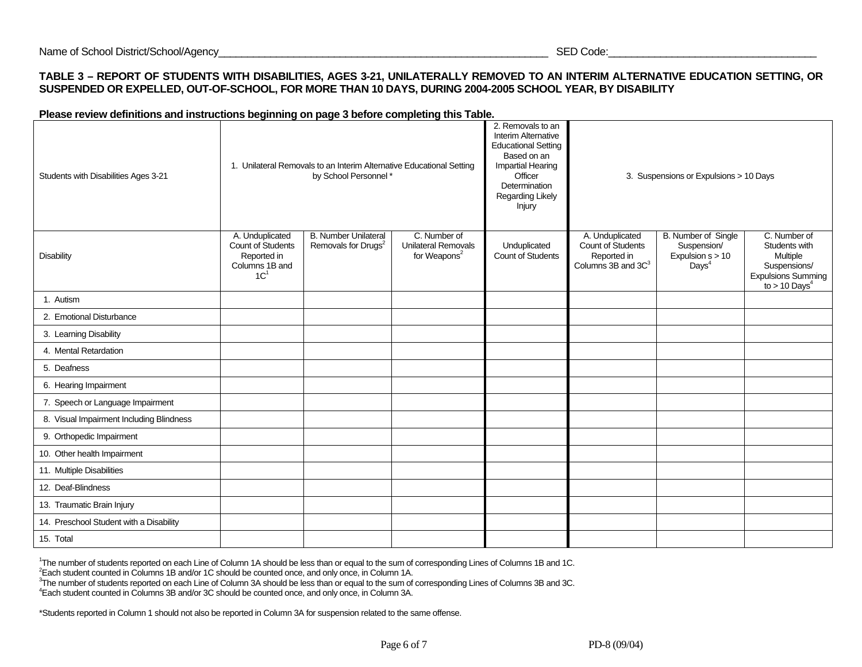#### **TABLE 3 – REPORT OF STUDENTS WITH DISABILITIES, AGES 3-21, UNILATERALLY REMOVED TO AN INTERIM ALTERNATIVE EDUCATION SETTING, OR SUSPENDED OR EXPELLED, OUT-OF-SCHOOL, FOR MORE THAN 10 DAYS, DURING 2004-2005 SCHOOL YEAR, BY DISABILITY**

#### **Please review definitions and instructions beginning on page 3 before completing this Table.**

| Students with Disabilities Ages 3-21     | 1. Unilateral Removals to an Interim Alternative Educational Setting<br>by School Personnel*    |                                                                |                                                                        | 2. Removals to an<br><b>Interim Alternative</b><br><b>Educational Setting</b><br>Based on an<br>Impartial Hearing<br>Officer<br>Determination<br>Regarding Likely<br>Injury | 3. Suspensions or Expulsions > 10 Days                                                       |                                                                                      |                                                                                                                       |
|------------------------------------------|-------------------------------------------------------------------------------------------------|----------------------------------------------------------------|------------------------------------------------------------------------|-----------------------------------------------------------------------------------------------------------------------------------------------------------------------------|----------------------------------------------------------------------------------------------|--------------------------------------------------------------------------------------|-----------------------------------------------------------------------------------------------------------------------|
| <b>Disability</b>                        | A. Unduplicated<br><b>Count of Students</b><br>Reported in<br>Columns 1B and<br>1C <sup>1</sup> | <b>B. Number Unilateral</b><br>Removals for Drugs <sup>2</sup> | C. Number of<br><b>Unilateral Removals</b><br>for Weapons <sup>2</sup> | Unduplicated<br><b>Count of Students</b>                                                                                                                                    | A. Unduplicated<br><b>Count of Students</b><br>Reported in<br>Columns 3B and 3C <sup>3</sup> | <b>B.</b> Number of Single<br>Suspension/<br>Expulsion $s > 10$<br>Days <sup>4</sup> | C. Number of<br>Students with<br>Multiple<br>Suspensions/<br><b>Expulsions Summing</b><br>to $> 10$ Days <sup>4</sup> |
| 1. Autism                                |                                                                                                 |                                                                |                                                                        |                                                                                                                                                                             |                                                                                              |                                                                                      |                                                                                                                       |
| 2. Emotional Disturbance                 |                                                                                                 |                                                                |                                                                        |                                                                                                                                                                             |                                                                                              |                                                                                      |                                                                                                                       |
| 3. Learning Disability                   |                                                                                                 |                                                                |                                                                        |                                                                                                                                                                             |                                                                                              |                                                                                      |                                                                                                                       |
| 4. Mental Retardation                    |                                                                                                 |                                                                |                                                                        |                                                                                                                                                                             |                                                                                              |                                                                                      |                                                                                                                       |
| 5. Deafness                              |                                                                                                 |                                                                |                                                                        |                                                                                                                                                                             |                                                                                              |                                                                                      |                                                                                                                       |
| 6. Hearing Impairment                    |                                                                                                 |                                                                |                                                                        |                                                                                                                                                                             |                                                                                              |                                                                                      |                                                                                                                       |
| 7. Speech or Language Impairment         |                                                                                                 |                                                                |                                                                        |                                                                                                                                                                             |                                                                                              |                                                                                      |                                                                                                                       |
| 8. Visual Impairment Including Blindness |                                                                                                 |                                                                |                                                                        |                                                                                                                                                                             |                                                                                              |                                                                                      |                                                                                                                       |
| 9. Orthopedic Impairment                 |                                                                                                 |                                                                |                                                                        |                                                                                                                                                                             |                                                                                              |                                                                                      |                                                                                                                       |
| 10. Other health Impairment              |                                                                                                 |                                                                |                                                                        |                                                                                                                                                                             |                                                                                              |                                                                                      |                                                                                                                       |
| 11. Multiple Disabilities                |                                                                                                 |                                                                |                                                                        |                                                                                                                                                                             |                                                                                              |                                                                                      |                                                                                                                       |
| 12. Deaf-Blindness                       |                                                                                                 |                                                                |                                                                        |                                                                                                                                                                             |                                                                                              |                                                                                      |                                                                                                                       |
| 13. Traumatic Brain Injury               |                                                                                                 |                                                                |                                                                        |                                                                                                                                                                             |                                                                                              |                                                                                      |                                                                                                                       |
| 14. Preschool Student with a Disability  |                                                                                                 |                                                                |                                                                        |                                                                                                                                                                             |                                                                                              |                                                                                      |                                                                                                                       |
| 15. Total                                |                                                                                                 |                                                                |                                                                        |                                                                                                                                                                             |                                                                                              |                                                                                      |                                                                                                                       |

<sup>1</sup>The number of students reported on each Line of Column 1A should be less than or equal to the sum of corresponding Lines of Columns 1B and 1C.<br>
<sup>2</sup> Each student counted in Columns 1B and/or 1C should be counted once, an

\*Students reported in Column 1 should not also be reported in Column 3A for suspension related to the same offense.